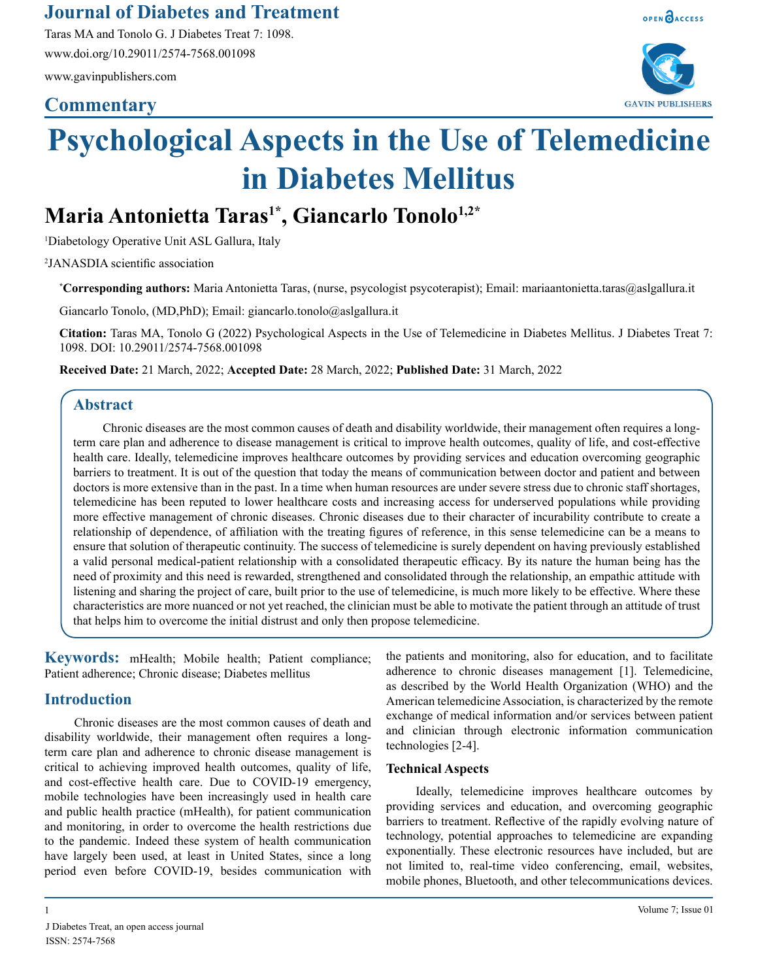Taras MA and Tonolo G. J Diabetes Treat 7: 1098. www.doi.org/10.29011/2574-7568.001098

www.gavinpublishers.com

## **Commentary**



OPEN OACCESS

# **Psychological Aspects in the Use of Telemedicine in Diabetes Mellitus**

# Maria Antonietta Taras<sup>1\*</sup>, Giancarlo Tonolo<sup>1,2\*</sup>

1 Diabetology Operative Unit ASL Gallura, Italy

2 JANASDIA scientific association

**\* Corresponding authors:** Maria Antonietta Taras, (nurse, psycologist psycoterapist); Email: mariaantonietta.taras@aslgallura.it

Giancarlo Tonolo, (MD,PhD); Email: giancarlo.tonolo@aslgallura.it

**Citation:** Taras MA, Tonolo G (2022) Psychological Aspects in the Use of Telemedicine in Diabetes Mellitus. J Diabetes Treat 7: 1098. DOI: 10.29011/2574-7568.001098

**Received Date:** 21 March, 2022; **Accepted Date:** 28 March, 2022; **Published Date:** 31 March, 2022

## **Abstract**

Chronic diseases are the most common causes of death and disability worldwide, their management often requires a longterm care plan and adherence to disease management is critical to improve health outcomes, quality of life, and cost-effective health care. Ideally, telemedicine improves healthcare outcomes by providing services and education overcoming geographic barriers to treatment. It is out of the question that today the means of communication between doctor and patient and between doctors is more extensive than in the past. In a time when human resources are under severe stress due to chronic staff shortages, telemedicine has been reputed to lower healthcare costs and increasing access for underserved populations while providing more effective management of chronic diseases. Chronic diseases due to their character of incurability contribute to create a relationship of dependence, of affiliation with the treating figures of reference, in this sense telemedicine can be a means to ensure that solution of therapeutic continuity. The success of telemedicine is surely dependent on having previously established a valid personal medical-patient relationship with a consolidated therapeutic efficacy. By its nature the human being has the need of proximity and this need is rewarded, strengthened and consolidated through the relationship, an empathic attitude with listening and sharing the project of care, built prior to the use of telemedicine, is much more likely to be effective. Where these characteristics are more nuanced or not yet reached, the clinician must be able to motivate the patient through an attitude of trust that helps him to overcome the initial distrust and only then propose telemedicine.

**Keywords:** mHealth; Mobile health; Patient compliance; Patient adherence; Chronic disease; Diabetes mellitus

### **Introduction**

Chronic diseases are the most common causes of death and disability worldwide, their management often requires a longterm care plan and adherence to chronic disease management is critical to achieving improved health outcomes, quality of life, and cost-effective health care. Due to COVID-19 emergency, mobile technologies have been increasingly used in health care and public health practice (mHealth), for patient communication and monitoring, in order to overcome the health restrictions due to the pandemic. Indeed these system of health communication have largely been used, at least in United States, since a long period even before COVID-19, besides communication with the patients and monitoring, also for education, and to facilitate adherence to chronic diseases management [1]. Telemedicine, as described by the World Health Organization (WHO) and the American telemedicine Association, is characterized by the remote exchange of medical information and/or services between patient and clinician through electronic information communication technologies [2-4].

#### **Technical Aspects**

Ideally, telemedicine improves healthcare outcomes by providing services and education, and overcoming geographic barriers to treatment. Reflective of the rapidly evolving nature of technology, potential approaches to telemedicine are expanding exponentially. These electronic resources have included, but are not limited to, real-time video conferencing, email, websites, mobile phones, Bluetooth, and other telecommunications devices.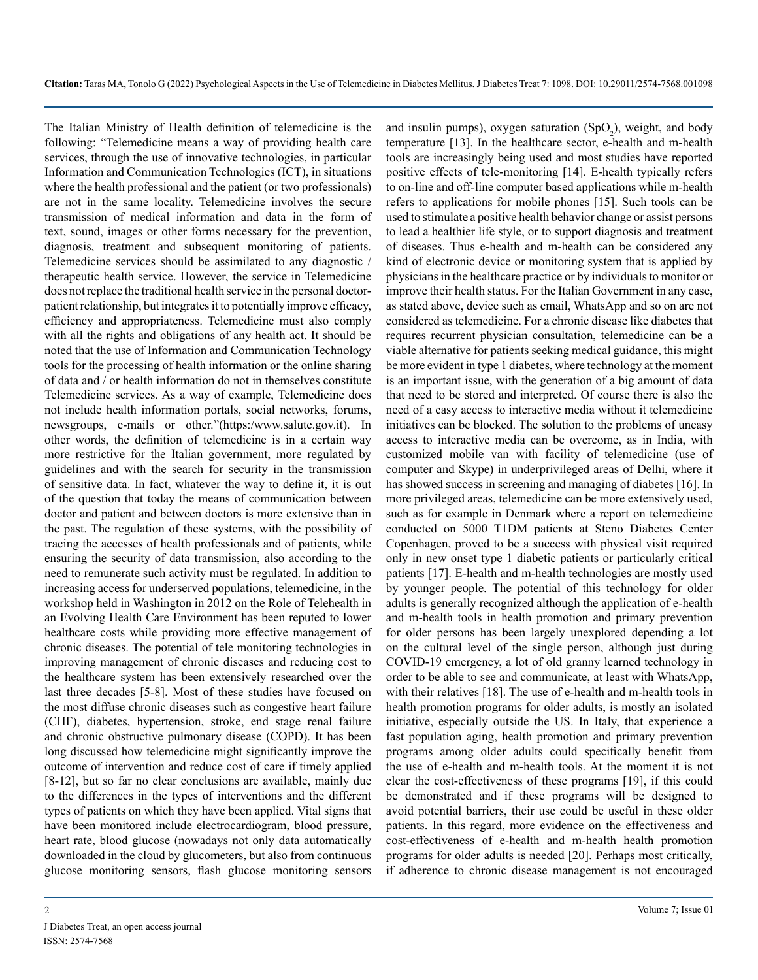The Italian Ministry of Health definition of telemedicine is the following: "Telemedicine means a way of providing health care services, through the use of innovative technologies, in particular Information and Communication Technologies (ICT), in situations where the health professional and the patient (or two professionals) are not in the same locality. Telemedicine involves the secure transmission of medical information and data in the form of text, sound, images or other forms necessary for the prevention, diagnosis, treatment and subsequent monitoring of patients. Telemedicine services should be assimilated to any diagnostic / therapeutic health service. However, the service in Telemedicine does not replace the traditional health service in the personal doctorpatient relationship, but integrates it to potentially improve efficacy, efficiency and appropriateness. Telemedicine must also comply with all the rights and obligations of any health act. It should be noted that the use of Information and Communication Technology tools for the processing of health information or the online sharing of data and / or health information do not in themselves constitute Telemedicine services. As a way of example, Telemedicine does not include health information portals, social networks, forums, newsgroups, e-mails or other."(https:/www.salute.gov.it). In other words, the definition of telemedicine is in a certain way more restrictive for the Italian government, more regulated by guidelines and with the search for security in the transmission of sensitive data. In fact, whatever the way to define it, it is out of the question that today the means of communication between doctor and patient and between doctors is more extensive than in the past. The regulation of these systems, with the possibility of tracing the accesses of health professionals and of patients, while ensuring the security of data transmission, also according to the need to remunerate such activity must be regulated. In addition to increasing access for underserved populations, telemedicine, in the workshop held in Washington in 2012 on the Role of Telehealth in an Evolving Health Care Environment has been reputed to lower healthcare costs while providing more effective management of chronic diseases. The potential of tele monitoring technologies in improving management of chronic diseases and reducing cost to the healthcare system has been extensively researched over the last three decades [5-8]. Most of these studies have focused on the most diffuse chronic diseases such as congestive heart failure (CHF), diabetes, hypertension, stroke, end stage renal failure and chronic obstructive pulmonary disease (COPD). It has been long discussed how telemedicine might significantly improve the outcome of intervention and reduce cost of care if timely applied [8-12], but so far no clear conclusions are available, mainly due to the differences in the types of interventions and the different types of patients on which they have been applied. Vital signs that have been monitored include electrocardiogram, blood pressure, heart rate, blood glucose (nowadays not only data automatically downloaded in the cloud by glucometers, but also from continuous glucose monitoring sensors, flash glucose monitoring sensors

and insulin pumps), oxygen saturation  $(SpO<sub>2</sub>)$ , weight, and body temperature [13]. In the healthcare sector, e-health and m-health tools are increasingly being used and most studies have reported positive effects of tele-monitoring [14]. E-health typically refers to on-line and off-line computer based applications while m-health refers to applications for mobile phones [15]. Such tools can be used to stimulate a positive health behavior change or assist persons to lead a healthier life style, or to support diagnosis and treatment of diseases. Thus e-health and m-health can be considered any kind of electronic device or monitoring system that is applied by physicians in the healthcare practice or by individuals to monitor or improve their health status. For the Italian Government in any case, as stated above, device such as email, WhatsApp and so on are not considered as telemedicine. For a chronic disease like diabetes that requires recurrent physician consultation, telemedicine can be a viable alternative for patients seeking medical guidance, this might be more evident in type 1 diabetes, where technology at the moment is an important issue, with the generation of a big amount of data that need to be stored and interpreted. Of course there is also the need of a easy access to interactive media without it telemedicine initiatives can be blocked. The solution to the problems of uneasy access to interactive media can be overcome, as in India, with customized mobile van with facility of telemedicine (use of computer and Skype) in underprivileged areas of Delhi, where it has showed success in screening and managing of diabetes [16]. In more privileged areas, telemedicine can be more extensively used, such as for example in Denmark where a report on telemedicine conducted on 5000 T1DM patients at Steno Diabetes Center Copenhagen, proved to be a success with physical visit required only in new onset type 1 diabetic patients or particularly critical patients [17]. E-health and m-health technologies are mostly used by younger people. The potential of this technology for older adults is generally recognized although the application of e-health and m-health tools in health promotion and primary prevention for older persons has been largely unexplored depending a lot on the cultural level of the single person, although just during COVID-19 emergency, a lot of old granny learned technology in order to be able to see and communicate, at least with WhatsApp, with their relatives [18]. The use of e-health and m-health tools in health promotion programs for older adults, is mostly an isolated initiative, especially outside the US. In Italy, that experience a fast population aging, health promotion and primary prevention programs among older adults could specifically benefit from the use of e-health and m-health tools. At the moment it is not clear the cost-effectiveness of these programs [19], if this could be demonstrated and if these programs will be designed to avoid potential barriers, their use could be useful in these older patients. In this regard, more evidence on the effectiveness and cost-effectiveness of e-health and m-health health promotion programs for older adults is needed [20]. Perhaps most critically, if adherence to chronic disease management is not encouraged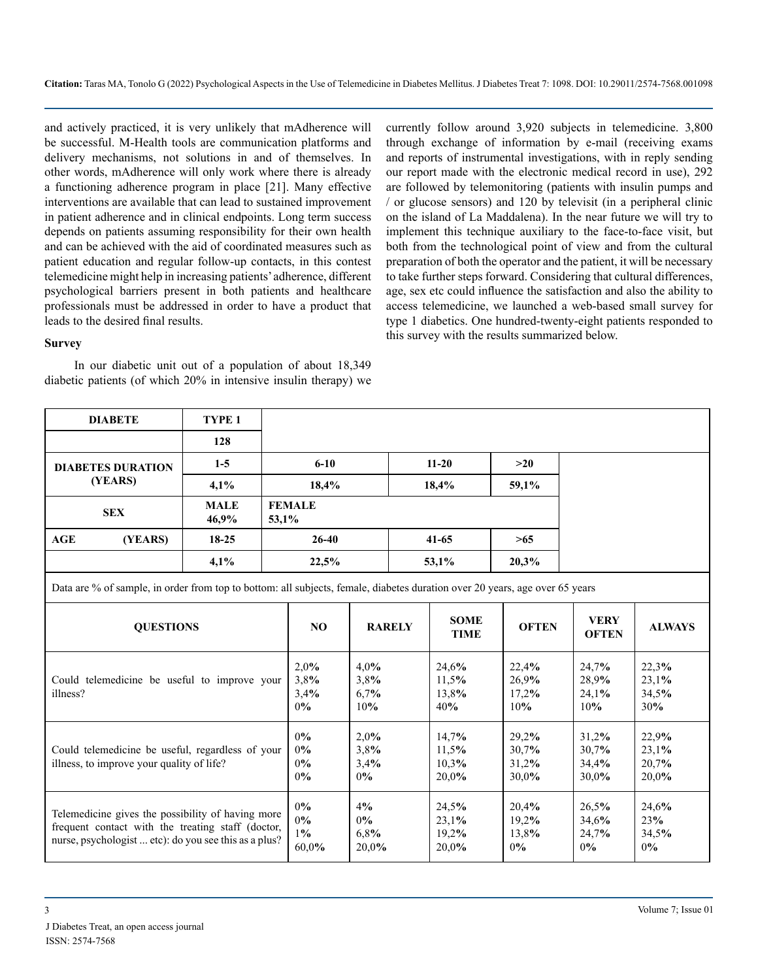and actively practiced, it is very unlikely that mAdherence will be successful. M-Health tools are communication platforms and delivery mechanisms, not solutions in and of themselves. In other words, mAdherence will only work where there is already a functioning adherence program in place [21]. Many effective interventions are available that can lead to sustained improvement in patient adherence and in clinical endpoints. Long term success depends on patients assuming responsibility for their own health and can be achieved with the aid of coordinated measures such as patient education and regular follow-up contacts, in this contest telemedicine might help in increasing patients' adherence, different psychological barriers present in both patients and healthcare professionals must be addressed in order to have a product that leads to the desired final results.

currently follow around 3,920 subjects in telemedicine. 3,800 through exchange of information by e-mail (receiving exams and reports of instrumental investigations, with in reply sending our report made with the electronic medical record in use), 292 are followed by telemonitoring (patients with insulin pumps and / or glucose sensors) and 120 by televisit (in a peripheral clinic on the island of La Maddalena). In the near future we will try to implement this technique auxiliary to the face-to-face visit, but both from the technological point of view and from the cultural preparation of both the operator and the patient, it will be necessary to take further steps forward. Considering that cultural differences, age, sex etc could influence the satisfaction and also the ability to access telemedicine, we launched a web-based small survey for type 1 diabetics. One hundred-twenty-eight patients responded to this survey with the results summarized below.

#### **Survey**

In our diabetic unit out of a population of about 18,349 diabetic patients (of which 20% in intensive insulin therapy) we

| <b>DIABETE</b>                                                                                                                                                  | TYPE <sub>1</sub>             |                             |                                  |                                  |                                  |                                  |  |  |  |  |  |
|-----------------------------------------------------------------------------------------------------------------------------------------------------------------|-------------------------------|-----------------------------|----------------------------------|----------------------------------|----------------------------------|----------------------------------|--|--|--|--|--|
|                                                                                                                                                                 | 128                           |                             |                                  |                                  |                                  |                                  |  |  |  |  |  |
| <b>DIABETES DURATION</b><br>(YEARS)                                                                                                                             | $1-5$                         | $6 - 10$                    |                                  | $11 - 20$                        | >20                              |                                  |  |  |  |  |  |
|                                                                                                                                                                 | 4,1%                          | 18,4%                       |                                  | 18,4%                            | 59,1%                            |                                  |  |  |  |  |  |
| <b>SEX</b>                                                                                                                                                      | <b>MALE</b><br>46,9%          | <b>FEMALE</b><br>53,1%      |                                  |                                  |                                  |                                  |  |  |  |  |  |
| AGE<br>(YEARS)                                                                                                                                                  | $18-25$                       | $26-40$                     |                                  | $41 - 65$                        | >65                              |                                  |  |  |  |  |  |
|                                                                                                                                                                 | 4,1%                          | 22,5%                       |                                  | 53,1%                            | 20,3%                            |                                  |  |  |  |  |  |
| Data are % of sample, in order from top to bottom: all subjects, female, diabetes duration over 20 years, age over 65 years                                     |                               |                             |                                  |                                  |                                  |                                  |  |  |  |  |  |
| <b>QUESTIONS</b>                                                                                                                                                | NO                            | <b>RARELY</b>               | <b>SOME</b><br><b>TIME</b>       | <b>OFTEN</b>                     | <b>VERY</b><br><b>OFTEN</b>      | <b>ALWAYS</b>                    |  |  |  |  |  |
| Could telemedicine be useful to improve your<br>illness?                                                                                                        | 2,0%<br>3,8%<br>3,4%<br>0%    | 4,0%<br>3.8%<br>6,7%<br>10% | 24,6%<br>11,5%<br>13,8%<br>40%   | 22,4%<br>26,9%<br>17,2%<br>10%   | 24,7%<br>28,9%<br>24.1%<br>10%   | 22,3%<br>23,1%<br>34,5%<br>30%   |  |  |  |  |  |
| Could telemedicine be useful, regardless of your<br>illness, to improve your quality of life?                                                                   | 0%<br>0%<br>0%<br>0%          | 2,0%<br>3,8%<br>3,4%<br>0%  | 14,7%<br>11.5%<br>10,3%<br>20,0% | 29,2%<br>30,7%<br>31,2%<br>30,0% | 31,2%<br>30.7%<br>34,4%<br>30,0% | 22,9%<br>23,1%<br>20,7%<br>20,0% |  |  |  |  |  |
| Telemedicine gives the possibility of having more<br>frequent contact with the treating staff (doctor,<br>nurse, psychologist  etc): do you see this as a plus? | $0\%$<br>0%<br>$1\%$<br>60,0% | 4%<br>0%<br>6,8%<br>20,0%   | 24,5%<br>23,1%<br>19,2%<br>20,0% | 20,4%<br>19,2%<br>13,8%<br>0%    | 26.5%<br>34,6%<br>24,7%<br>0%    | 24,6%<br>23%<br>34,5%<br>0%      |  |  |  |  |  |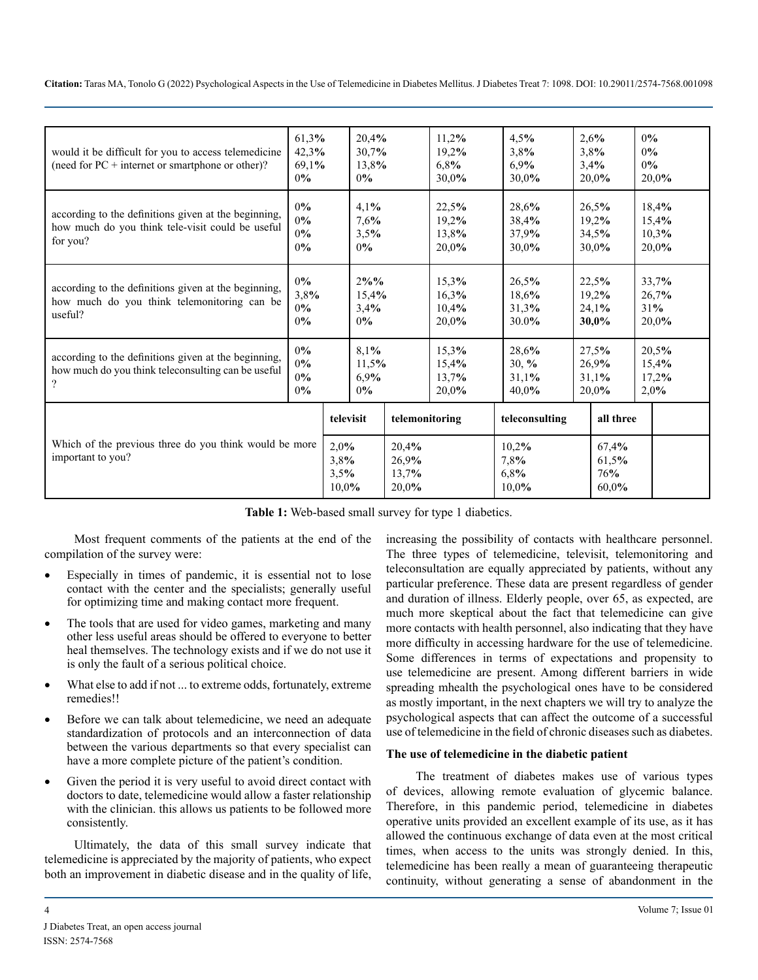**Citation:** Taras MA, Tonolo G (2022) Psychological Aspects in the Use of Telemedicine in Diabetes Mellitus. J Diabetes Treat 7: 1098. DOI: 10.29011/2574-7568.001098

| 61,3%<br>would it be difficult for you to access telemedicine<br>42,3%<br>(need for $PC$ + internet or smartphone or other)?<br>69.1%<br>0%  |                           | 20,4%<br>30,7%<br>13,8%<br>0% |                               |                                  | 11,2%<br>19,2%<br>6,8%<br>30,0%  | 4,5%<br>3,8%<br>6.9%<br>30,0%       |  | 2,6%<br>3,8%<br>3.4%<br>20.0%    | 0%<br>0%<br>0%<br>20,0%          |  |
|----------------------------------------------------------------------------------------------------------------------------------------------|---------------------------|-------------------------------|-------------------------------|----------------------------------|----------------------------------|-------------------------------------|--|----------------------------------|----------------------------------|--|
| 0%<br>according to the definitions given at the beginning,<br>0%<br>how much do you think tele-visit could be useful<br>0%<br>for you?<br>0% |                           |                               |                               |                                  | 22,5%<br>19,2%<br>13,8%<br>20.0% | 28,6%<br>38,4%<br>37,9%<br>30.0%    |  | 26,5%<br>19,2%<br>34,5%<br>30,0% | 18,4%<br>15,4%<br>10,3%<br>20.0% |  |
| according to the definitions given at the beginning,<br>how much do you think telemonitoring can be<br>useful?                               | $0\%$<br>3,8%<br>0%<br>0% |                               | $2\%%$<br>15,4%<br>3,4%<br>0% |                                  | 15,3%<br>16,3%<br>10,4%<br>20,0% | 26,5%<br>18,6%<br>31.3%<br>30.0%    |  | 22,5%<br>19,2%<br>24.1%<br>30,0% | 33,7%<br>26,7%<br>31%<br>20,0%   |  |
| according to the definitions given at the beginning,<br>how much do you think teleconsulting can be useful<br>?                              | 0%<br>0%<br>0%<br>0%      |                               | 8,1%<br>11,5%<br>6,9%<br>0%   |                                  | 15,3%<br>15,4%<br>13,7%<br>20,0% | 28,6%<br>$30, \%$<br>31,1%<br>40,0% |  | 27,5%<br>26,9%<br>31,1%<br>20,0% | 20,5%<br>15,4%<br>17,2%<br>2.0%  |  |
|                                                                                                                                              |                           | televisit                     |                               | telemonitoring                   |                                  | teleconsulting                      |  | all three                        |                                  |  |
| Which of the previous three do you think would be more<br>important to you?                                                                  |                           |                               | 2,0%<br>3,8%<br>3,5%<br>10.0% | 20,4%<br>26,9%<br>13,7%<br>20.0% |                                  | 10,2%<br>7,8%<br>6,8%<br>10.0%      |  | 67,4%<br>61,5%<br>76%<br>60.0%   |                                  |  |

**Table 1:** Web-based small survey for type 1 diabetics.

Most frequent comments of the patients at the end of the compilation of the survey were:

- Especially in times of pandemic, it is essential not to lose contact with the center and the specialists; generally useful for optimizing time and making contact more frequent.
- The tools that are used for video games, marketing and many other less useful areas should be offered to everyone to better heal themselves. The technology exists and if we do not use it is only the fault of a serious political choice.
- What else to add if not ... to extreme odds, fortunately, extreme remedies!!
- Before we can talk about telemedicine, we need an adequate standardization of protocols and an interconnection of data between the various departments so that every specialist can have a more complete picture of the patient's condition.
- Given the period it is very useful to avoid direct contact with doctors to date, telemedicine would allow a faster relationship with the clinician. this allows us patients to be followed more consistently.

Ultimately, the data of this small survey indicate that telemedicine is appreciated by the majority of patients, who expect both an improvement in diabetic disease and in the quality of life,

increasing the possibility of contacts with healthcare personnel. The three types of telemedicine, televisit, telemonitoring and teleconsultation are equally appreciated by patients, without any particular preference. These data are present regardless of gender and duration of illness. Elderly people, over 65, as expected, are much more skeptical about the fact that telemedicine can give more contacts with health personnel, also indicating that they have more difficulty in accessing hardware for the use of telemedicine. Some differences in terms of expectations and propensity to use telemedicine are present. Among different barriers in wide spreading mhealth the psychological ones have to be considered as mostly important, in the next chapters we will try to analyze the psychological aspects that can affect the outcome of a successful use of telemedicine in the field of chronic diseases such as diabetes.

#### **The use of telemedicine in the diabetic patient**

The treatment of diabetes makes use of various types of devices, allowing remote evaluation of glycemic balance. Therefore, in this pandemic period, telemedicine in diabetes operative units provided an excellent example of its use, as it has allowed the continuous exchange of data even at the most critical times, when access to the units was strongly denied. In this, telemedicine has been really a mean of guaranteeing therapeutic continuity, without generating a sense of abandonment in the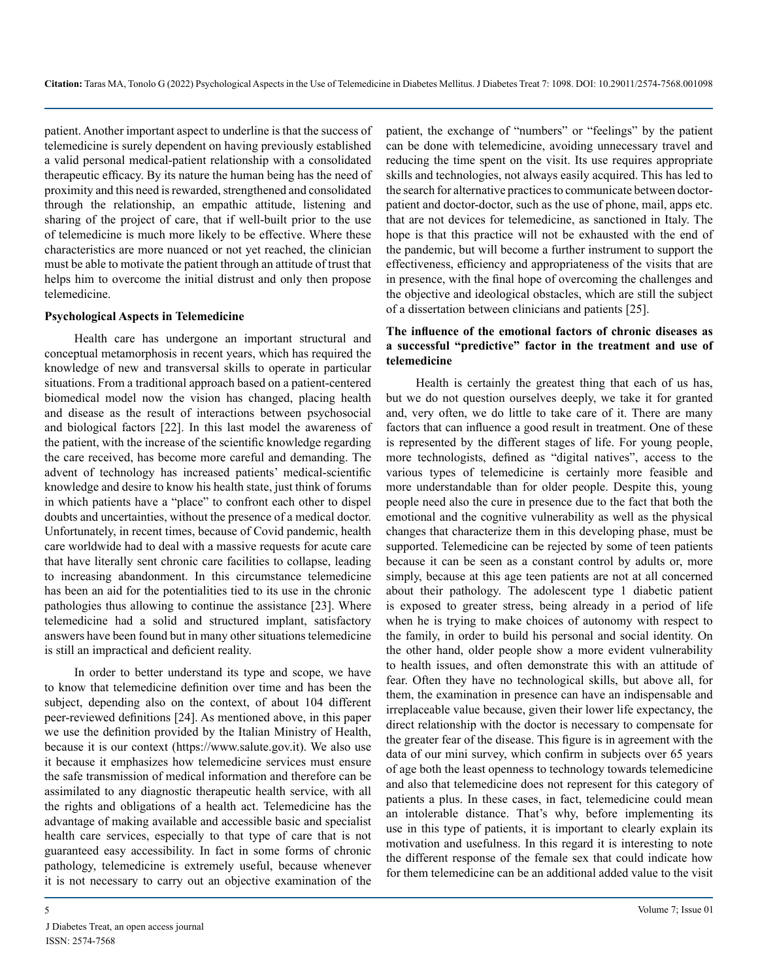patient. Another important aspect to underline is that the success of telemedicine is surely dependent on having previously established a valid personal medical-patient relationship with a consolidated therapeutic efficacy. By its nature the human being has the need of proximity and this need is rewarded, strengthened and consolidated through the relationship, an empathic attitude, listening and sharing of the project of care, that if well-built prior to the use of telemedicine is much more likely to be effective. Where these characteristics are more nuanced or not yet reached, the clinician must be able to motivate the patient through an attitude of trust that helps him to overcome the initial distrust and only then propose telemedicine.

#### **Psychological Aspects in Telemedicine**

Health care has undergone an important structural and conceptual metamorphosis in recent years, which has required the knowledge of new and transversal skills to operate in particular situations. From a traditional approach based on a patient-centered biomedical model now the vision has changed, placing health and disease as the result of interactions between psychosocial and biological factors [22]. In this last model the awareness of the patient, with the increase of the scientific knowledge regarding the care received, has become more careful and demanding. The advent of technology has increased patients' medical-scientific knowledge and desire to know his health state, just think of forums in which patients have a "place" to confront each other to dispel doubts and uncertainties, without the presence of a medical doctor. Unfortunately, in recent times, because of Covid pandemic, health care worldwide had to deal with a massive requests for acute care that have literally sent chronic care facilities to collapse, leading to increasing abandonment. In this circumstance telemedicine has been an aid for the potentialities tied to its use in the chronic pathologies thus allowing to continue the assistance [23]. Where telemedicine had a solid and structured implant, satisfactory answers have been found but in many other situations telemedicine is still an impractical and deficient reality.

In order to better understand its type and scope, we have to know that telemedicine definition over time and has been the subject, depending also on the context, of about 104 different peer-reviewed definitions [24]. As mentioned above, in this paper we use the definition provided by the Italian Ministry of Health, because it is our context (https://www.salute.gov.it). We also use it because it emphasizes how telemedicine services must ensure the safe transmission of medical information and therefore can be assimilated to any diagnostic therapeutic health service, with all the rights and obligations of a health act. Telemedicine has the advantage of making available and accessible basic and specialist health care services, especially to that type of care that is not guaranteed easy accessibility. In fact in some forms of chronic pathology, telemedicine is extremely useful, because whenever it is not necessary to carry out an objective examination of the

patient, the exchange of "numbers" or "feelings" by the patient can be done with telemedicine, avoiding unnecessary travel and reducing the time spent on the visit. Its use requires appropriate skills and technologies, not always easily acquired. This has led to the search for alternative practices to communicate between doctorpatient and doctor-doctor, such as the use of phone, mail, apps etc. that are not devices for telemedicine, as sanctioned in Italy. The hope is that this practice will not be exhausted with the end of the pandemic, but will become a further instrument to support the effectiveness, efficiency and appropriateness of the visits that are in presence, with the final hope of overcoming the challenges and the objective and ideological obstacles, which are still the subject of a dissertation between clinicians and patients [25].

#### **The influence of the emotional factors of chronic diseases as a successful "predictive" factor in the treatment and use of telemedicine**

Health is certainly the greatest thing that each of us has, but we do not question ourselves deeply, we take it for granted and, very often, we do little to take care of it. There are many factors that can influence a good result in treatment. One of these is represented by the different stages of life. For young people, more technologists, defined as "digital natives", access to the various types of telemedicine is certainly more feasible and more understandable than for older people. Despite this, young people need also the cure in presence due to the fact that both the emotional and the cognitive vulnerability as well as the physical changes that characterize them in this developing phase, must be supported. Telemedicine can be rejected by some of teen patients because it can be seen as a constant control by adults or, more simply, because at this age teen patients are not at all concerned about their pathology. The adolescent type 1 diabetic patient is exposed to greater stress, being already in a period of life when he is trying to make choices of autonomy with respect to the family, in order to build his personal and social identity. On the other hand, older people show a more evident vulnerability to health issues, and often demonstrate this with an attitude of fear. Often they have no technological skills, but above all, for them, the examination in presence can have an indispensable and irreplaceable value because, given their lower life expectancy, the direct relationship with the doctor is necessary to compensate for the greater fear of the disease. This figure is in agreement with the data of our mini survey, which confirm in subjects over 65 years of age both the least openness to technology towards telemedicine and also that telemedicine does not represent for this category of patients a plus. In these cases, in fact, telemedicine could mean an intolerable distance. That's why, before implementing its use in this type of patients, it is important to clearly explain its motivation and usefulness. In this regard it is interesting to note the different response of the female sex that could indicate how for them telemedicine can be an additional added value to the visit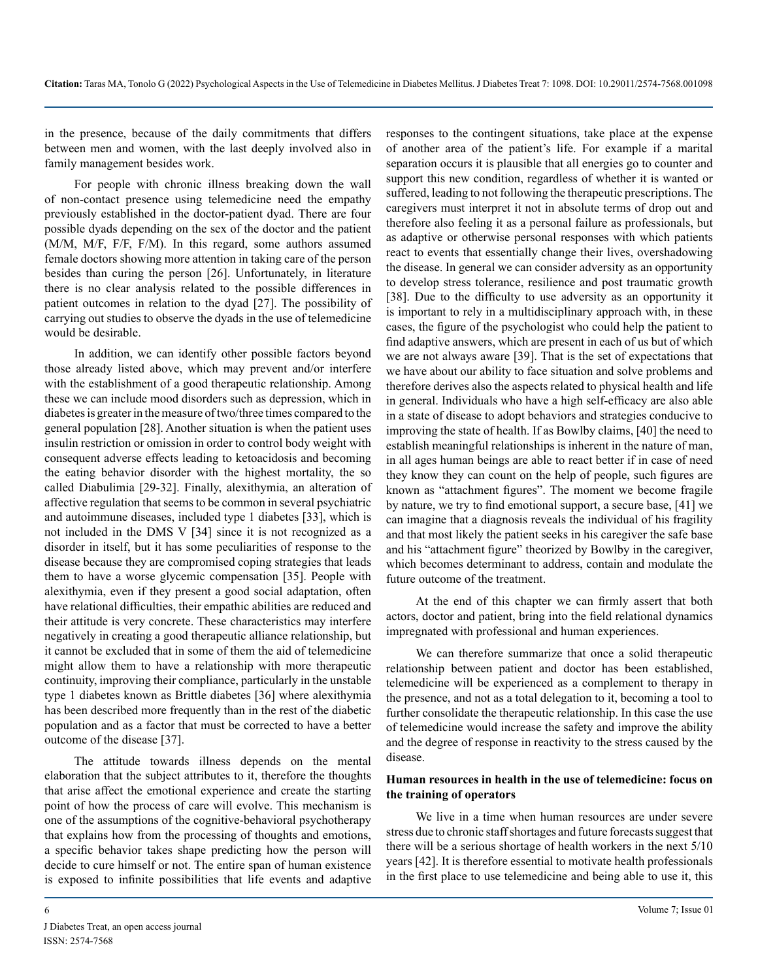in the presence, because of the daily commitments that differs between men and women, with the last deeply involved also in family management besides work.

For people with chronic illness breaking down the wall of non-contact presence using telemedicine need the empathy previously established in the doctor-patient dyad. There are four possible dyads depending on the sex of the doctor and the patient (M/M, M/F, F/F, F/M). In this regard, some authors assumed female doctors showing more attention in taking care of the person besides than curing the person [26]. Unfortunately, in literature there is no clear analysis related to the possible differences in patient outcomes in relation to the dyad [27]. The possibility of carrying out studies to observe the dyads in the use of telemedicine would be desirable.

In addition, we can identify other possible factors beyond those already listed above, which may prevent and/or interfere with the establishment of a good therapeutic relationship. Among these we can include mood disorders such as depression, which in diabetes is greater in the measure of two/three times compared to the general population [28]. Another situation is when the patient uses insulin restriction or omission in order to control body weight with consequent adverse effects leading to ketoacidosis and becoming the eating behavior disorder with the highest mortality, the so called Diabulimia [29-32]. Finally, alexithymia, an alteration of affective regulation that seems to be common in several psychiatric and autoimmune diseases, included type 1 diabetes [33], which is not included in the DMS V [34] since it is not recognized as a disorder in itself, but it has some peculiarities of response to the disease because they are compromised coping strategies that leads them to have a worse glycemic compensation [35]. People with alexithymia, even if they present a good social adaptation, often have relational difficulties, their empathic abilities are reduced and their attitude is very concrete. These characteristics may interfere negatively in creating a good therapeutic alliance relationship, but it cannot be excluded that in some of them the aid of telemedicine might allow them to have a relationship with more therapeutic continuity, improving their compliance, particularly in the unstable type 1 diabetes known as Brittle diabetes [36] where alexithymia has been described more frequently than in the rest of the diabetic population and as a factor that must be corrected to have a better outcome of the disease [37].

The attitude towards illness depends on the mental elaboration that the subject attributes to it, therefore the thoughts that arise affect the emotional experience and create the starting point of how the process of care will evolve. This mechanism is one of the assumptions of the cognitive-behavioral psychotherapy that explains how from the processing of thoughts and emotions, a specific behavior takes shape predicting how the person will decide to cure himself or not. The entire span of human existence is exposed to infinite possibilities that life events and adaptive

responses to the contingent situations, take place at the expense of another area of the patient's life. For example if a marital separation occurs it is plausible that all energies go to counter and support this new condition, regardless of whether it is wanted or suffered, leading to not following the therapeutic prescriptions. The caregivers must interpret it not in absolute terms of drop out and therefore also feeling it as a personal failure as professionals, but as adaptive or otherwise personal responses with which patients react to events that essentially change their lives, overshadowing the disease. In general we can consider adversity as an opportunity to develop stress tolerance, resilience and post traumatic growth [38]. Due to the difficulty to use adversity as an opportunity it is important to rely in a multidisciplinary approach with, in these cases, the figure of the psychologist who could help the patient to find adaptive answers, which are present in each of us but of which we are not always aware [39]. That is the set of expectations that we have about our ability to face situation and solve problems and therefore derives also the aspects related to physical health and life in general. Individuals who have a high self-efficacy are also able in a state of disease to adopt behaviors and strategies conducive to improving the state of health. If as Bowlby claims, [40] the need to establish meaningful relationships is inherent in the nature of man, in all ages human beings are able to react better if in case of need they know they can count on the help of people, such figures are known as "attachment figures". The moment we become fragile by nature, we try to find emotional support, a secure base, [41] we can imagine that a diagnosis reveals the individual of his fragility and that most likely the patient seeks in his caregiver the safe base and his "attachment figure" theorized by Bowlby in the caregiver, which becomes determinant to address, contain and modulate the future outcome of the treatment.

At the end of this chapter we can firmly assert that both actors, doctor and patient, bring into the field relational dynamics impregnated with professional and human experiences.

We can therefore summarize that once a solid therapeutic relationship between patient and doctor has been established, telemedicine will be experienced as a complement to therapy in the presence, and not as a total delegation to it, becoming a tool to further consolidate the therapeutic relationship. In this case the use of telemedicine would increase the safety and improve the ability and the degree of response in reactivity to the stress caused by the disease.

#### **Human resources in health in the use of telemedicine: focus on the training of operators**

We live in a time when human resources are under severe stress due to chronic staff shortages and future forecasts suggest that there will be a serious shortage of health workers in the next 5/10 years [42]. It is therefore essential to motivate health professionals in the first place to use telemedicine and being able to use it, this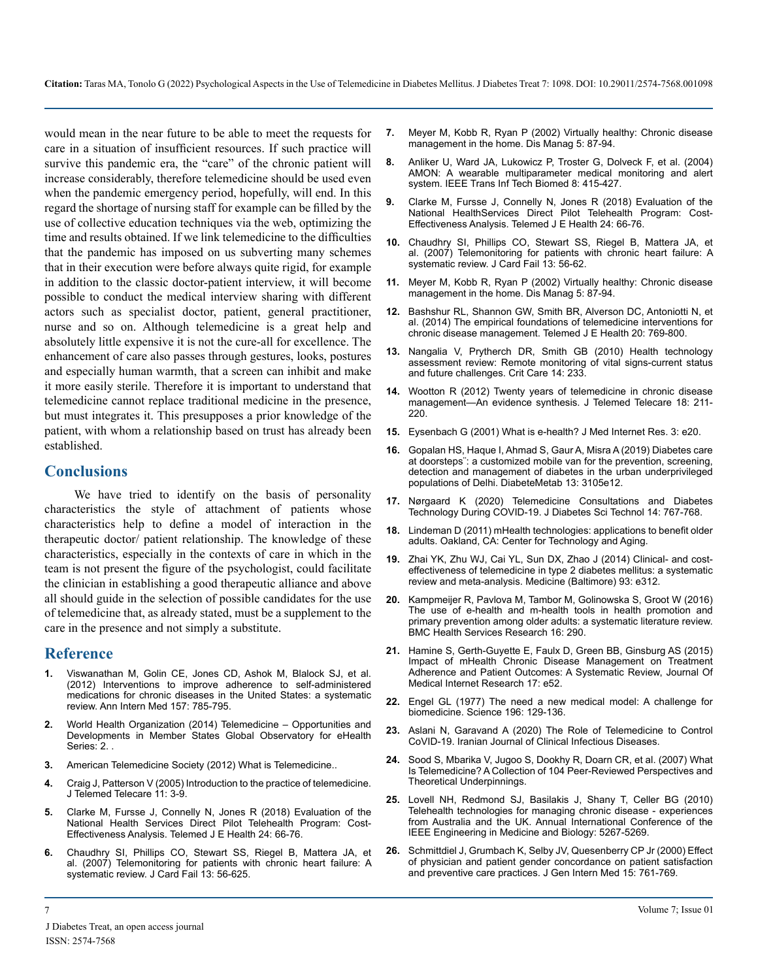would mean in the near future to be able to meet the requests for care in a situation of insufficient resources. If such practice will survive this pandemic era, the "care" of the chronic patient will increase considerably, therefore telemedicine should be used even when the pandemic emergency period, hopefully, will end. In this regard the shortage of nursing staff for example can be filled by the use of collective education techniques via the web, optimizing the time and results obtained. If we link telemedicine to the difficulties that the pandemic has imposed on us subverting many schemes that in their execution were before always quite rigid, for example in addition to the classic doctor-patient interview, it will become possible to conduct the medical interview sharing with different actors such as specialist doctor, patient, general practitioner, nurse and so on. Although telemedicine is a great help and absolutely little expensive it is not the cure-all for excellence. The enhancement of care also passes through gestures, looks, postures and especially human warmth, that a screen can inhibit and make it more easily sterile. Therefore it is important to understand that telemedicine cannot replace traditional medicine in the presence, but must integrates it. This presupposes a prior knowledge of the patient, with whom a relationship based on trust has already been established.

#### **Conclusions**

We have tried to identify on the basis of personality characteristics the style of attachment of patients whose characteristics help to define a model of interaction in the therapeutic doctor/ patient relationship. The knowledge of these characteristics, especially in the contexts of care in which in the team is not present the figure of the psychologist, could facilitate the clinician in establishing a good therapeutic alliance and above all should guide in the selection of possible candidates for the use of telemedicine that, as already stated, must be a supplement to the care in the presence and not simply a substitute.

#### **Reference**

- **1.** [Viswanathan M, Golin CE, Jones CD, Ashok M, Blalock SJ, et al.](https://pubmed.ncbi.nlm.nih.gov/22964778/) [\(2012\) Interventions to improve adherence to self-administered](https://pubmed.ncbi.nlm.nih.gov/22964778/)  [medications for chronic diseases in the United States: a systematic](https://pubmed.ncbi.nlm.nih.gov/22964778/)  [review. Ann Intern Med 157: 785-795.](https://pubmed.ncbi.nlm.nih.gov/22964778/)
- **2.** [World Health Organization \(2014\) Telemedicine Opportunities and](https://apps.who.int/iris/handle/10665/44497)  [Developments in Member States Global Observatory for eHealth](https://apps.who.int/iris/handle/10665/44497)  [Series: 2.](https://apps.who.int/iris/handle/10665/44497)
- **3.** American Telemedicine Society (2012) What is Telemedicine..
- **4.** [Craig J, Patterson V \(2005\) Introduction to the practice of telemedicine.](https://pubmed.ncbi.nlm.nih.gov/15829036/)  [J Telemed Telecare 11: 3-9.](https://pubmed.ncbi.nlm.nih.gov/15829036/)
- **5.** [Clarke M, Fursse J, Connelly N, Jones R \(2018\) Evaluation of the](https://pubmed.ncbi.nlm.nih.gov/28723244/)  [National Health Services Direct Pilot Telehealth Program: Cost-](https://pubmed.ncbi.nlm.nih.gov/28723244/)[Effectiveness Analysis. Telemed J E Health 24: 66-76.](https://pubmed.ncbi.nlm.nih.gov/28723244/)
- **6.** [Chaudhry SI, Phillips CO, Stewart SS, Riegel B, Mattera JA, et](https://www.ncbi.nlm.nih.gov/pmc/articles/PMC1910700/)  [al. \(2007\) Telemonitoring for patients with chronic heart failure: A](https://www.ncbi.nlm.nih.gov/pmc/articles/PMC1910700/) [systematic review. J Card Fail 13: 56-625.](https://www.ncbi.nlm.nih.gov/pmc/articles/PMC1910700/)
- **7.** [Meyer M, Kobb R, Ryan P \(2002\) Virtually healthy: Chronic disease](https://www.researchgate.net/publication/237233701_Virtually_Healthy_Chronic_Disease_Management_in_the_Home)  [management in the home. Dis Manag 5: 87-94.](https://www.researchgate.net/publication/237233701_Virtually_Healthy_Chronic_Disease_Management_in_the_Home)
- **8.** [Anliker U, Ward JA, Lukowicz P, Troster G, Dolveck F, et al. \(2004\)](https://ieeexplore.ieee.org/document/1362650)  [AMON: A wearable multiparameter medical monitoring and alert](https://ieeexplore.ieee.org/document/1362650)  [system. IEEE Trans Inf Tech Biomed 8: 415-427](https://ieeexplore.ieee.org/document/1362650).
- **9.** [Clarke M, Fursse J, Connelly N, Jones R \(2018\) Evaluation of the](https://pubmed.ncbi.nlm.nih.gov/28723244/)  [National HealthServices Direct Pilot Telehealth Program: Cost-](https://pubmed.ncbi.nlm.nih.gov/28723244/)[Effectiveness Analysis. Telemed J E Health 24: 66-76.](https://pubmed.ncbi.nlm.nih.gov/28723244/)
- **10.** [Chaudhry SI, Phillips CO, Stewart SS, Riegel B, Mattera JA, et](https://www.ncbi.nlm.nih.gov/pmc/articles/PMC1910700/)  [al. \(2007\) Telemonitoring for patients with chronic heart failure: A](https://www.ncbi.nlm.nih.gov/pmc/articles/PMC1910700/) [systematic review. J Card Fail 13: 56-62.](https://www.ncbi.nlm.nih.gov/pmc/articles/PMC1910700/)
- **11.** [Meyer M, Kobb R, Ryan P \(2002\) Virtually healthy: Chronic disease](https://www.researchgate.net/publication/237233701_Virtually_Healthy_Chronic_Disease_Management_in_the_Home)  [management in the home. Dis Manag 5: 87-94.](https://www.researchgate.net/publication/237233701_Virtually_Healthy_Chronic_Disease_Management_in_the_Home)
- **12.** [Bashshur RL, Shannon GW, Smith BR, Alverson DC, Antoniotti N, et](https://pubmed.ncbi.nlm.nih.gov/24968105/)  [al. \(2014\) The empirical foundations of telemedicine interventions for](https://pubmed.ncbi.nlm.nih.gov/24968105/)  [chronic disease management. Telemed J E Health 20: 769-800](https://pubmed.ncbi.nlm.nih.gov/24968105/).
- **13.** [Nangalia V, Prytherch DR, Smith GB \(2010\) Health technology](https://pubmed.ncbi.nlm.nih.gov/20875149/)  [assessment review: Remote monitoring of vital signs-current status](https://pubmed.ncbi.nlm.nih.gov/20875149/)  [and future challenges. Crit Care 14: 233.](https://pubmed.ncbi.nlm.nih.gov/20875149/)
- **14.** [Wootton R \(2012\) Twenty years of telemedicine in chronic disease](https://pubmed.ncbi.nlm.nih.gov/22674020/)  [management—An evidence synthesis. J Telemed Telecare 18: 211-](https://pubmed.ncbi.nlm.nih.gov/22674020/) [220.](https://pubmed.ncbi.nlm.nih.gov/22674020/)
- **15.** [Eysenbach G \(2001\) What is e-health? J Med Internet Res. 3: e20.](https://www.jmir.org/2001/2/e20/)
- **16.** [Gopalan HS, Haque I, Ahmad S, Gaur A, Misra A \(2019\) Diabetes care](https://pubmed.ncbi.nlm.nih.gov/31790964/)  [at doorsteps¨: a customized mobile van for the prevention, screening,](https://pubmed.ncbi.nlm.nih.gov/31790964/)  [detection and management of diabetes in the urban underprivileged](https://pubmed.ncbi.nlm.nih.gov/31790964/)  [populations of Delhi. DiabeteMetab 13: 3105e12](https://pubmed.ncbi.nlm.nih.gov/31790964/).
- **17.** [Nørgaard K \(2020\) Telemedicine Consultations and Diabetes](https://pubmed.ncbi.nlm.nih.gov/32429702/)  [Technology During COVID-19. J Diabetes Sci Technol 14: 767-768.](https://pubmed.ncbi.nlm.nih.gov/32429702/)
- **18.** [Lindeman D \(2011\) mHealth technologies: applications to benefit older](https://2mjt5a2emh374130j5vkxw9g-wpengine.netdna-ssl.com/wp-content/uploads/2011/01/ghcah59qtuhe4iqhf3h7kp12v7q8xv15quh6u99569k1zuzce7.pdf)  [adults. Oakland, CA: Center for Technology and Aging.](https://2mjt5a2emh374130j5vkxw9g-wpengine.netdna-ssl.com/wp-content/uploads/2011/01/ghcah59qtuhe4iqhf3h7kp12v7q8xv15quh6u99569k1zuzce7.pdf)
- **19.** [Zhai YK, Zhu WJ, Cai YL, Sun DX, Zhao J \(2014\) Clinical- and cost](https://pubmed.ncbi.nlm.nih.gov/25526482/)[effectiveness of telemedicine in type 2 diabetes mellitus: a systematic](https://pubmed.ncbi.nlm.nih.gov/25526482/)  [review and meta-analysis. Medicine \(Baltimore\) 93: e312.](https://pubmed.ncbi.nlm.nih.gov/25526482/)
- **20.** [Kampmeijer R, Pavlova M, Tambor M, Golinowska S, Groot W \(2016\)](https://pubmed.ncbi.nlm.nih.gov/27608677/)  [The use of e-health and m-health tools in health promotion and](https://pubmed.ncbi.nlm.nih.gov/27608677/)  [primary prevention among older adults: a systematic literature review.](https://pubmed.ncbi.nlm.nih.gov/27608677/)  [BMC Health Services Research 16: 290](https://pubmed.ncbi.nlm.nih.gov/27608677/).
- **21.** [Hamine S, Gerth-Guyette E, Faulx D, Green BB, Ginsburg AS \(2015\)](https://pubmed.ncbi.nlm.nih.gov/25803266/)  [Impact of mHealth Chronic Disease Management on Treatment](https://pubmed.ncbi.nlm.nih.gov/25803266/) [Adherence and Patient Outcomes: A Systematic Review, Journal Of](https://pubmed.ncbi.nlm.nih.gov/25803266/) [Medical Internet Research 17: e52](https://pubmed.ncbi.nlm.nih.gov/25803266/).
- **22.** [Engel GL \(1977\) The need a new medical model: A challenge for](https://pubmed.ncbi.nlm.nih.gov/847460/)  [biomedicine. Science 196: 129-136.](https://pubmed.ncbi.nlm.nih.gov/847460/)
- **23.** [Aslani N, Garavand A \(2020\) The Role of Telemedicine to Control](https://www.researchgate.net/publication/340282378_The_Role_of_Telemedicine_to_Control_CoVID-19) [CoVID-19. Iranian Journal of Clinical Infectious Diseases.](https://www.researchgate.net/publication/340282378_The_Role_of_Telemedicine_to_Control_CoVID-19)
- **24.** [Sood S, Mbarika V, Jugoo S, Dookhy R, Doarn CR, et al. \(2007\) What](https://pubmed.ncbi.nlm.nih.gov/17999619/) [Is Telemedicine? A Collection of 104 Peer-Reviewed Perspectives and](https://pubmed.ncbi.nlm.nih.gov/17999619/)  [Theoretical Underpinnings.](https://pubmed.ncbi.nlm.nih.gov/17999619/)
- **25.** [Lovell NH, Redmond SJ, Basilakis J, Shany T, Celler BG \(2010\)](https://pubmed.ncbi.nlm.nih.gov/21096054/) [Telehealth technologies for managing chronic disease - experiences](https://pubmed.ncbi.nlm.nih.gov/21096054/)  [from Australia and the UK. Annual International Conference of the](https://pubmed.ncbi.nlm.nih.gov/21096054/)  [IEEE Engineering in Medicine and Biology: 5267-5269.](https://pubmed.ncbi.nlm.nih.gov/21096054/)
- **26.** [Schmittdiel J, Grumbach K, Selby JV, Quesenberry CP Jr \(2000\) Effect](https://www.ncbi.nlm.nih.gov/pmc/articles/PMC1495609/)  [of physician and patient gender concordance on patient satisfaction](https://www.ncbi.nlm.nih.gov/pmc/articles/PMC1495609/)  [and preventive care practices. J Gen Intern Med 15: 761-769.](https://www.ncbi.nlm.nih.gov/pmc/articles/PMC1495609/)